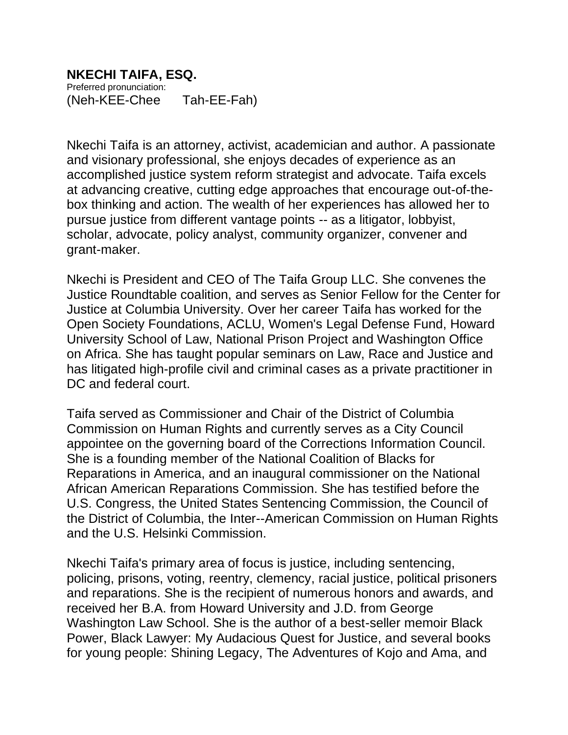## **NKECHI TAIFA, ESQ.**

Preferred pronunciation: (Neh-KEE-Chee Tah-EE-Fah)

Nkechi Taifa is an attorney, activist, academician and author. A passionate and visionary professional, she enjoys decades of experience as an accomplished justice system reform strategist and advocate. Taifa excels at advancing creative, cutting edge approaches that encourage out-of-thebox thinking and action. The wealth of her experiences has allowed her to pursue justice from different vantage points -- as a litigator, lobbyist, scholar, advocate, policy analyst, community organizer, convener and grant-maker.

Nkechi is President and CEO of The Taifa Group LLC. She convenes the Justice Roundtable coalition, and serves as Senior Fellow for the Center for Justice at Columbia University. Over her career Taifa has worked for the Open Society Foundations, ACLU, Women's Legal Defense Fund, Howard University School of Law, National Prison Project and Washington Office on Africa. She has taught popular seminars on Law, Race and Justice and has litigated high-profile civil and criminal cases as a private practitioner in DC and federal court.

Taifa served as Commissioner and Chair of the District of Columbia Commission on Human Rights and currently serves as a City Council appointee on the governing board of the Corrections Information Council. She is a founding member of the National Coalition of Blacks for Reparations in America, and an inaugural commissioner on the National African American Reparations Commission. She has testified before the U.S. Congress, the United States Sentencing Commission, the Council of the District of Columbia, the Inter--American Commission on Human Rights and the U.S. Helsinki Commission.

Nkechi Taifa's primary area of focus is justice, including sentencing, policing, prisons, voting, reentry, clemency, racial justice, political prisoners and reparations. She is the recipient of numerous honors and awards, and received her B.A. from Howard University and J.D. from George Washington Law School. She is the author of a best-seller memoir Black Power, Black Lawyer: My Audacious Quest for Justice, and several books for young people: Shining Legacy, The Adventures of Kojo and Ama, and